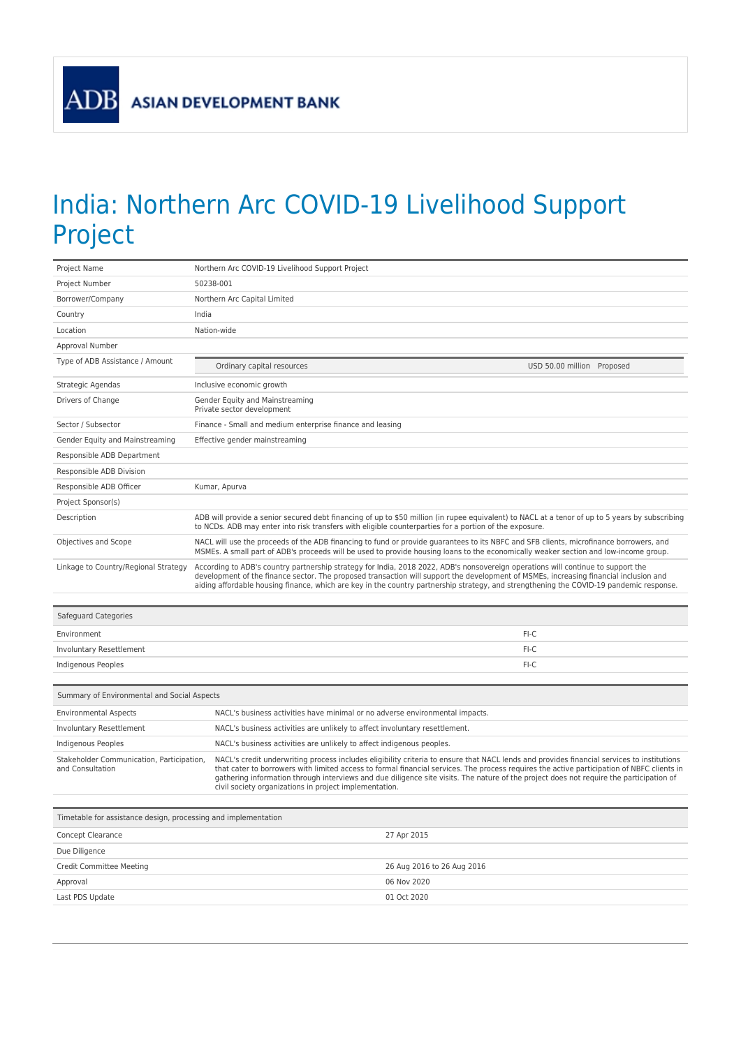**ADB** 

## India: Northern Arc COVID-19 Livelihood Support Project

| Project Name                                                   | Northern Arc COVID-19 Livelihood Support Project                                                                                                                                                                                                                                                                                                                                                                                                                                              |  |
|----------------------------------------------------------------|-----------------------------------------------------------------------------------------------------------------------------------------------------------------------------------------------------------------------------------------------------------------------------------------------------------------------------------------------------------------------------------------------------------------------------------------------------------------------------------------------|--|
| Project Number                                                 | 50238-001                                                                                                                                                                                                                                                                                                                                                                                                                                                                                     |  |
| Borrower/Company                                               | Northern Arc Capital Limited                                                                                                                                                                                                                                                                                                                                                                                                                                                                  |  |
| Country                                                        | India                                                                                                                                                                                                                                                                                                                                                                                                                                                                                         |  |
| Location                                                       | Nation-wide                                                                                                                                                                                                                                                                                                                                                                                                                                                                                   |  |
| Approval Number                                                |                                                                                                                                                                                                                                                                                                                                                                                                                                                                                               |  |
| Type of ADB Assistance / Amount                                | USD 50.00 million Proposed<br>Ordinary capital resources                                                                                                                                                                                                                                                                                                                                                                                                                                      |  |
| Strategic Agendas                                              | Inclusive economic growth                                                                                                                                                                                                                                                                                                                                                                                                                                                                     |  |
| Drivers of Change                                              | Gender Equity and Mainstreaming<br>Private sector development                                                                                                                                                                                                                                                                                                                                                                                                                                 |  |
| Sector / Subsector                                             | Finance - Small and medium enterprise finance and leasing                                                                                                                                                                                                                                                                                                                                                                                                                                     |  |
| Gender Equity and Mainstreaming                                | Effective gender mainstreaming                                                                                                                                                                                                                                                                                                                                                                                                                                                                |  |
| Responsible ADB Department                                     |                                                                                                                                                                                                                                                                                                                                                                                                                                                                                               |  |
| Responsible ADB Division                                       |                                                                                                                                                                                                                                                                                                                                                                                                                                                                                               |  |
| Responsible ADB Officer                                        | Kumar, Apurva                                                                                                                                                                                                                                                                                                                                                                                                                                                                                 |  |
| Project Sponsor(s)                                             |                                                                                                                                                                                                                                                                                                                                                                                                                                                                                               |  |
| Description                                                    | ADB will provide a senior secured debt financing of up to \$50 million (in rupee equivalent) to NACL at a tenor of up to 5 years by subscribing<br>to NCDs. ADB may enter into risk transfers with eligible counterparties for a portion of the exposure.                                                                                                                                                                                                                                     |  |
| Objectives and Scope                                           | NACL will use the proceeds of the ADB financing to fund or provide guarantees to its NBFC and SFB clients, microfinance borrowers, and<br>MSMEs. A small part of ADB's proceeds will be used to provide housing loans to the economically weaker section and low-income group.                                                                                                                                                                                                                |  |
| Linkage to Country/Regional Strategy                           | According to ADB's country partnership strategy for India, 2018 2022, ADB's nonsovereign operations will continue to support the<br>development of the finance sector. The proposed transaction will support the development of MSMEs, increasing financial inclusion and<br>aiding affordable housing finance, which are key in the country partnership strategy, and strengthening the COVID-19 pandemic response.                                                                          |  |
| Safeguard Categories                                           |                                                                                                                                                                                                                                                                                                                                                                                                                                                                                               |  |
| Environment                                                    | FI-C                                                                                                                                                                                                                                                                                                                                                                                                                                                                                          |  |
| Involuntary Resettlement                                       | FI-C                                                                                                                                                                                                                                                                                                                                                                                                                                                                                          |  |
| Indigenous Peoples                                             | FI-C                                                                                                                                                                                                                                                                                                                                                                                                                                                                                          |  |
|                                                                |                                                                                                                                                                                                                                                                                                                                                                                                                                                                                               |  |
| Summary of Environmental and Social Aspects                    |                                                                                                                                                                                                                                                                                                                                                                                                                                                                                               |  |
| <b>Environmental Aspects</b>                                   | NACL's business activities have minimal or no adverse environmental impacts.                                                                                                                                                                                                                                                                                                                                                                                                                  |  |
| Involuntary Resettlement                                       | NACL's business activities are unlikely to affect involuntary resettlement.                                                                                                                                                                                                                                                                                                                                                                                                                   |  |
| Indigenous Peoples                                             | NACL's business activities are unlikely to affect indigenous peoples.                                                                                                                                                                                                                                                                                                                                                                                                                         |  |
| Stakeholder Communication, Participation,<br>and Consultation  | NACL's credit underwriting process includes eligibility criteria to ensure that NACL lends and provides financial services to institutions<br>that cater to borrowers with limited access to formal financial services. The process requires the active participation of NBFC clients in<br>gathering information through interviews and due diligence site visits. The nature of the project does not require the participation of<br>civil society organizations in project implementation. |  |
| Timetable for assistance design, processing and implementation |                                                                                                                                                                                                                                                                                                                                                                                                                                                                                               |  |
| Concept Clearance                                              | 27 Apr 2015                                                                                                                                                                                                                                                                                                                                                                                                                                                                                   |  |
| Due Diligence                                                  |                                                                                                                                                                                                                                                                                                                                                                                                                                                                                               |  |
| Credit Committee Meeting                                       | 26 Aug 2016 to 26 Aug 2016                                                                                                                                                                                                                                                                                                                                                                                                                                                                    |  |
| Approval                                                       | 06 Nov 2020                                                                                                                                                                                                                                                                                                                                                                                                                                                                                   |  |
| Last PDS Update                                                | 01 Oct 2020                                                                                                                                                                                                                                                                                                                                                                                                                                                                                   |  |